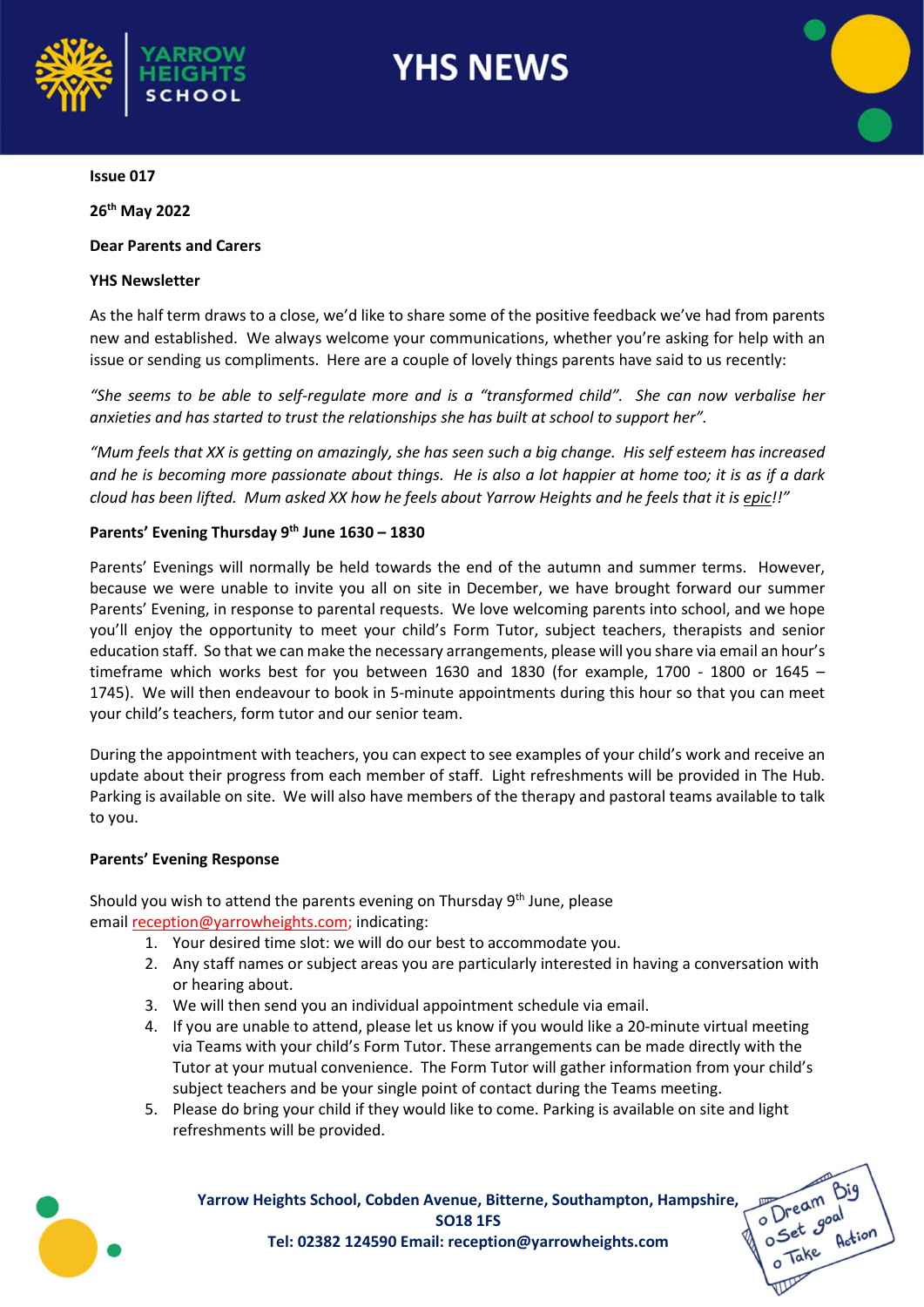

# **YHS NEWS**



O Dream Big<br>O Dream Big<br>O Take Action

### Issue 017

26th May 2022

# Dear Parents and Carers

# YHS Newsletter

As the half term draws to a close, we'd like to share some of the positive feedback we've had from parents new and established. We always welcome your communications, whether you're asking for help with an issue or sending us compliments. Here are a couple of lovely things parents have said to us recently:

"She seems to be able to self-regulate more and is a "transformed child". She can now verbalise her anxieties and has started to trust the relationships she has built at school to support her".

"Mum feels that XX is getting on amazingly, she has seen such a big change. His self esteem has increased and he is becoming more passionate about things. He is also a lot happier at home too; it is as if a dark cloud has been lifted. Mum asked XX how he feels about Yarrow Heights and he feels that it is epic!!"

# Parents' Evening Thursday  $9<sup>th</sup>$  June 1630 – 1830

Parents' Evenings will normally be held towards the end of the autumn and summer terms. However, because we were unable to invite you all on site in December, we have brought forward our summer Parents' Evening, in response to parental requests. We love welcoming parents into school, and we hope you'll enjoy the opportunity to meet your child's Form Tutor, subject teachers, therapists and senior education staff. So that we can make the necessary arrangements, please will you share via email an hour's timeframe which works best for you between 1630 and 1830 (for example, 1700 - 1800 or 1645 – 1745). We will then endeavour to book in 5-minute appointments during this hour so that you can meet your child's teachers, form tutor and our senior team.

During the appointment with teachers, you can expect to see examples of your child's work and receive an update about their progress from each member of staff. Light refreshments will be provided in The Hub. Parking is available on site. We will also have members of the therapy and pastoral teams available to talk to you.

#### Parents' Evening Response

Should you wish to attend the parents evening on Thursday  $9<sup>th</sup>$  June, please email reception@yarrowheights.com; indicating:

- 1. Your desired time slot: we will do our best to accommodate you.
- 2. Any staff names or subject areas you are particularly interested in having a conversation with or hearing about.
- 3. We will then send you an individual appointment schedule via email.
- 4. If you are unable to attend, please let us know if you would like a 20-minute virtual meeting via Teams with your child's Form Tutor. These arrangements can be made directly with the Tutor at your mutual convenience. The Form Tutor will gather information from your child's subject teachers and be your single point of contact during the Teams meeting.
- 5. Please do bring your child if they would like to come. Parking is available on site and light refreshments will be provided.



Yarrow Heights School, Cobden Avenue, Bitterne, Southampton, Hampshire, SO18 1FS Tel: 02382 124590 Email: reception@yarrowheights.com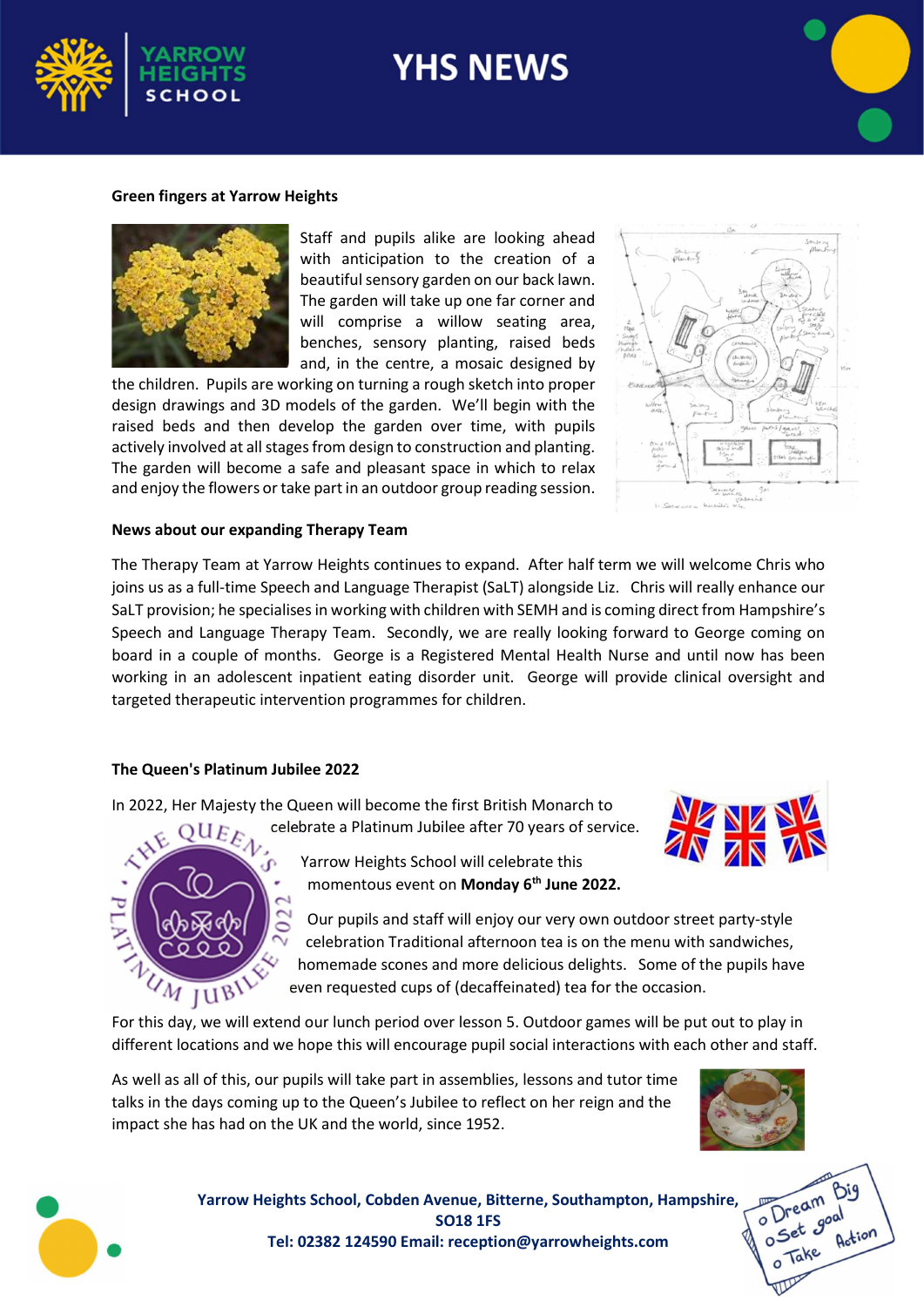

# **YHS NEWS**

#### Green fingers at Yarrow Heights



Staff and pupils alike are looking ahead with anticipation to the creation of a beautiful sensory garden on our back lawn. The garden will take up one far corner and will comprise a willow seating area, benches, sensory planting, raised beds and, in the centre, a mosaic designed by

the children. Pupils are working on turning a rough sketch into proper design drawings and 3D models of the garden. We'll begin with the raised beds and then develop the garden over time, with pupils actively involved at all stages from design to construction and planting. The garden will become a safe and pleasant space in which to relax and enjoy the flowers or take part in an outdoor group reading session.



#### News about our expanding Therapy Team

The Therapy Team at Yarrow Heights continues to expand. After half term we will welcome Chris who joins us as a full-time Speech and Language Therapist (SaLT) alongside Liz. Chris will really enhance our SaLT provision; he specialises in working with children with SEMH and is coming direct from Hampshire's Speech and Language Therapy Team. Secondly, we are really looking forward to George coming on board in a couple of months. George is a Registered Mental Health Nurse and until now has been working in an adolescent inpatient eating disorder unit. George will provide clinical oversight and targeted therapeutic intervention programmes for children.

#### The Queen's Platinum Jubilee 2022

In 2022, Her Majesty the Queen will become the first British Monarch to

celebrate a Platinum Jubilee after 70 years of service.



Yarrow Heights School will celebrate this momentous event on Monday 6<sup>th</sup> June 2022.

Our pupils and staff will enjoy our very own outdoor street party-style celebration Traditional afternoon tea is on the menu with sandwiches, homemade scones and more delicious delights. Some of the pupils have even requested cups of (decaffeinated) tea for the occasion.

For this day, we will extend our lunch period over lesson 5. Outdoor games will be put out to play in different locations and we hope this will encourage pupil social interactions with each other and staff.

As well as all of this, our pupils will take part in assemblies, lessons and tutor time talks in the days coming up to the Queen's Jubilee to reflect on her reign and the impact she has had on the UK and the world, since 1952.



O Dream O Dreamond<br>O Set goal Take



Yarrow Heights School, Cobden Avenue, Bitterne, Southampton, Hampshire, SO18 1FS Tel: 02382 124590 Email: reception@yarrowheights.com